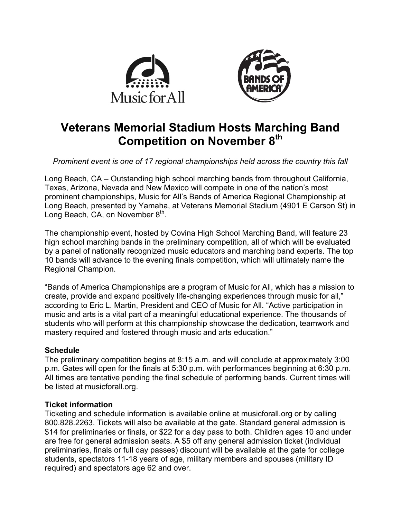



# **Veterans Memorial Stadium Hosts Marching Band Competition on November 8th**

*Prominent event is one of 17 regional championships held across the country this fall*

Long Beach, CA – Outstanding high school marching bands from throughout California, Texas, Arizona, Nevada and New Mexico will compete in one of the nation's most prominent championships, Music for All's Bands of America Regional Championship at Long Beach, presented by Yamaha, at Veterans Memorial Stadium (4901 E Carson St) in Long Beach, CA, on November  $8<sup>th</sup>$ .

The championship event, hosted by Covina High School Marching Band, will feature 23 high school marching bands in the preliminary competition, all of which will be evaluated by a panel of nationally recognized music educators and marching band experts. The top 10 bands will advance to the evening finals competition, which will ultimately name the Regional Champion.

"Bands of America Championships are a program of Music for All, which has a mission to create, provide and expand positively life-changing experiences through music for all," according to Eric L. Martin, President and CEO of Music for All. "Active participation in music and arts is a vital part of a meaningful educational experience. The thousands of students who will perform at this championship showcase the dedication, teamwork and mastery required and fostered through music and arts education."

# **Schedule**

The preliminary competition begins at 8:15 a.m. and will conclude at approximately 3:00 p.m. Gates will open for the finals at 5:30 p.m. with performances beginning at 6:30 p.m. All times are tentative pending the final schedule of performing bands. Current times will be listed at musicforall.org.

# **Ticket information**

Ticketing and schedule information is available online at musicforall.org or by calling 800.828.2263. Tickets will also be available at the gate. Standard general admission is \$14 for preliminaries or finals, or \$22 for a day pass to both. Children ages 10 and under are free for general admission seats. A \$5 off any general admission ticket (individual preliminaries, finals or full day passes) discount will be available at the gate for college students, spectators 11-18 years of age, military members and spouses (military ID required) and spectators age 62 and over.